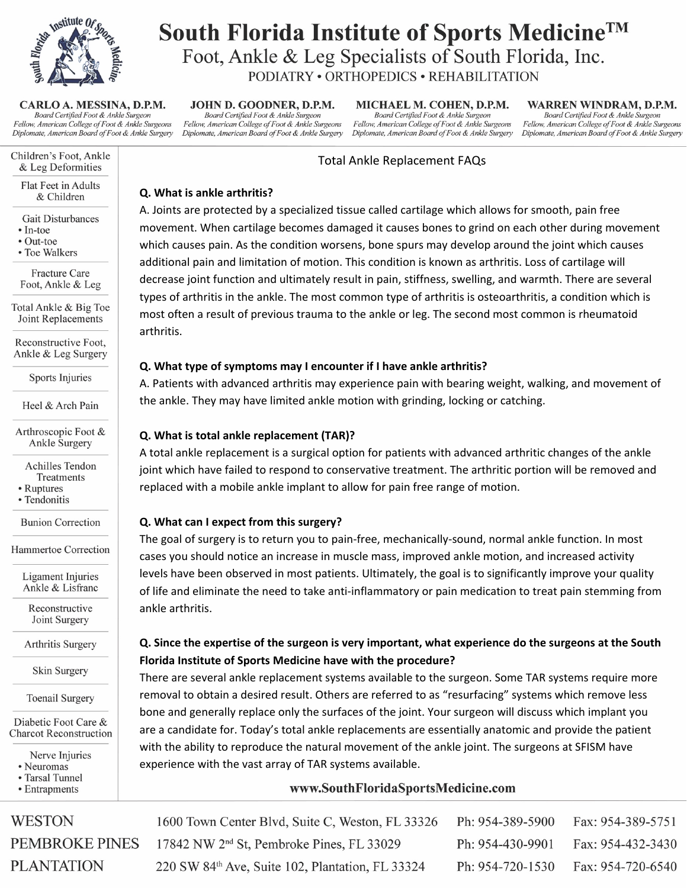

CARLO A. MESSINA, D.P.M. Board Certified Foot & Ankle Surgeon Fellow, American College of Foot & Ankle Surgeons Diplomate, American Board of Foot & Ankle Surgery

Children's Foot, Ankle & Leg Deformities

Flat Feet in Adults & Children

- **Gait Disturbances**
- $\cdot$  In-toe
- Out-toe
- Toe Walkers

Fracture Care Foot, Ankle & Leg

Total Ankle & Big Toe Joint Replacements

Reconstructive Foot, Ankle & Leg Surgery

Sports Injuries

Heel & Arch Pain

Arthroscopic Foot & **Ankle Surgery** 

> **Achilles Tendon** Treatments

- Ruptures
- · Tendonitis

**Bunion Correction** 

Hammertoe Correction

Ligament Injuries Ankle & Lisfranc

Reconstructive Joint Surgery

**Arthritis Surgery** 

Skin Surgery

**Toenail Surgery** 

Diabetic Foot Care & **Charcot Reconstruction** 

Nerve Injuries

- · Neuromas
- Tarsal Tunnel • Entrapments
- 

**WESTON PEMBROKE PINES PLANTATION** 

South Florida Institute of Sports Medicine<sup>TM</sup> Foot, Ankle & Leg Specialists of South Florida, Inc. PODIATRY . ORTHOPEDICS . REHABILITATION

JOHN D. GOODNER, D.P.M. Board Certified Foot & Ankle Surgeon Fellow, American College of Foot & Ankle Surgeons Diplomate, American Board of Foot & Ankle Surgery

MICHAEL M. COHEN, D.P.M. Board Certified Foot & Ankle Surgeon Fellow, American College of Foot & Ankle Surgeons Diplomate, American Board of Foot & Ankle Surgery

WARREN WINDRAM, D.P.M. Board Certified Foot & Ankle Surgeon Fellow, American College of Foot & Ankle Surgeons Diplomate, American Board of Foot & Ankle Surgery

## **Total Ankle Replacement FAQs**

#### Q. What is ankle arthritis?

A. Joints are protected by a specialized tissue called cartilage which allows for smooth, pain free movement. When cartilage becomes damaged it causes bones to grind on each other during movement which causes pain. As the condition worsens, bone spurs may develop around the joint which causes additional pain and limitation of motion. This condition is known as arthritis. Loss of cartilage will decrease joint function and ultimately result in pain, stiffness, swelling, and warmth. There are several types of arthritis in the ankle. The most common type of arthritis is osteoarthritis, a condition which is most often a result of previous trauma to the ankle or leg. The second most common is rheumatoid arthritis.

#### Q. What type of symptoms may I encounter if I have ankle arthritis?

A. Patients with advanced arthritis may experience pain with bearing weight, walking, and movement of the ankle. They may have limited ankle motion with grinding, locking or catching.

#### Q. What is total ankle replacement (TAR)?

A total ankle replacement is a surgical option for patients with advanced arthritic changes of the ankle joint which have failed to respond to conservative treatment. The arthritic portion will be removed and replaced with a mobile ankle implant to allow for pain free range of motion.

## Q. What can I expect from this surgery?

The goal of surgery is to return you to pain-free, mechanically-sound, normal ankle function. In most cases you should notice an increase in muscle mass, improved ankle motion, and increased activity levels have been observed in most patients. Ultimately, the goal is to significantly improve your quality of life and eliminate the need to take anti-inflammatory or pain medication to treat pain stemming from ankle arthritis.

# Q. Since the expertise of the surgeon is very important, what experience do the surgeons at the South Florida Institute of Sports Medicine have with the procedure?

There are several ankle replacement systems available to the surgeon. Some TAR systems require more removal to obtain a desired result. Others are referred to as "resurfacing" systems which remove less bone and generally replace only the surfaces of the joint. Your surgeon will discuss which implant you are a candidate for. Today's total ankle replacements are essentially anatomic and provide the patient with the ability to reproduce the natural movement of the ankle joint. The surgeons at SFISM have experience with the vast array of TAR systems available.

## www.SouthFloridaSportsMedicine.com

Fax: 954-389-5751 1600 Town Center Blvd, Suite C, Weston, FL 33326 Ph: 954-389-5900 17842 NW 2<sup>nd</sup> St, Pembroke Pines, FL 33029 Ph: 954-430-9901 Fax: 954-432-3430 220 SW 84th Ave, Suite 102, Plantation, FL 33324 Ph: 954-720-1530 Fax: 954-720-6540